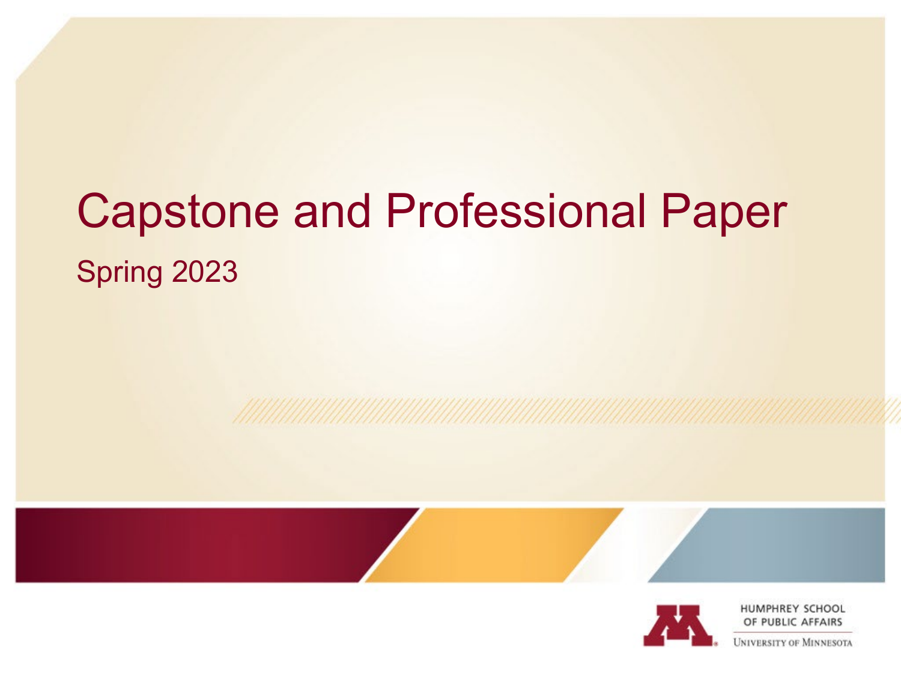# Capstone and Professional Paper Spring 2023



HUMPHREY SCHOOL OF PUBLIC AFFAIRS

**JNIVERSITY OF MINNESOTA**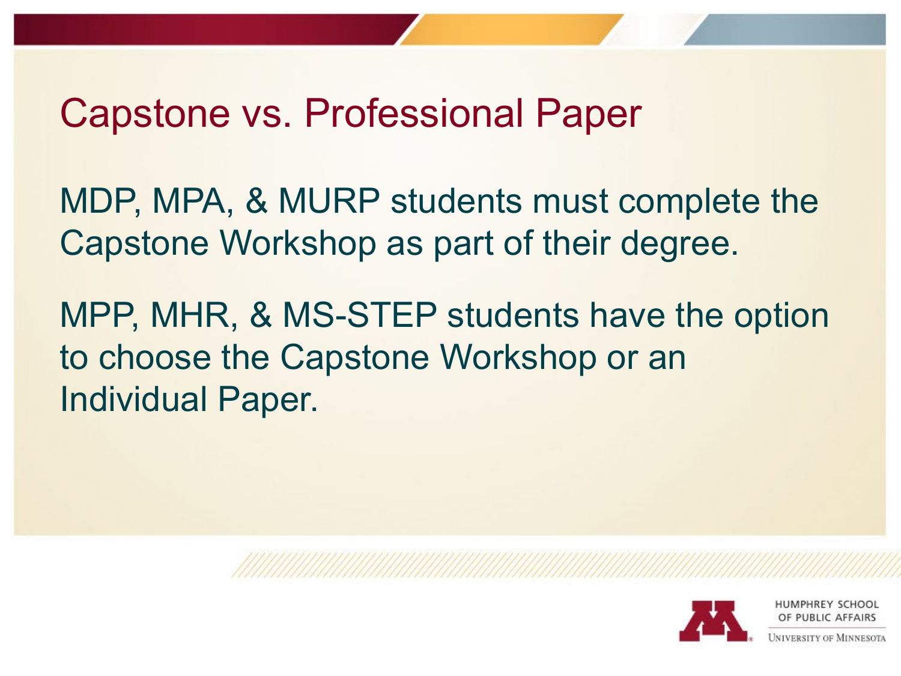#### Capstone vs. Professional Paper

MDP, MPA, & MURP students must complete the Capstone Workshop as part of their degree.

MPP, MHR, & MS-STEP students have the option to choose the Capstone Workshop or an Individual Paper.

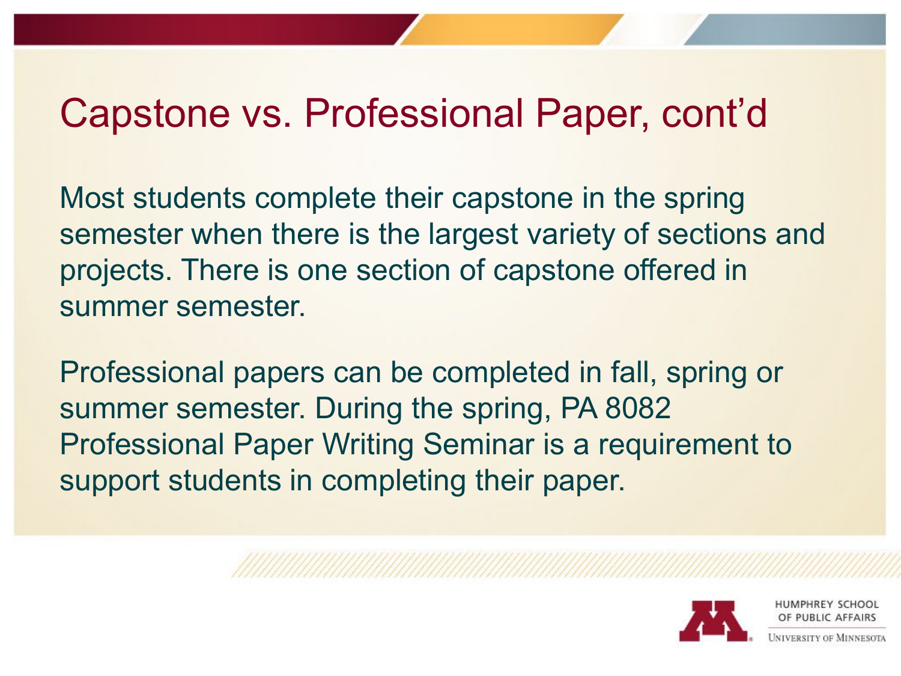### Capstone vs. Professional Paper, cont'd

Most students complete their capstone in the spring semester when there is the largest variety of sections and projects. There is one section of capstone offered in summer semester.

Professional papers can be completed in fall, spring or summer semester. During the spring, PA 8082 Professional Paper Writing Seminar is a requirement to support students in completing their paper.

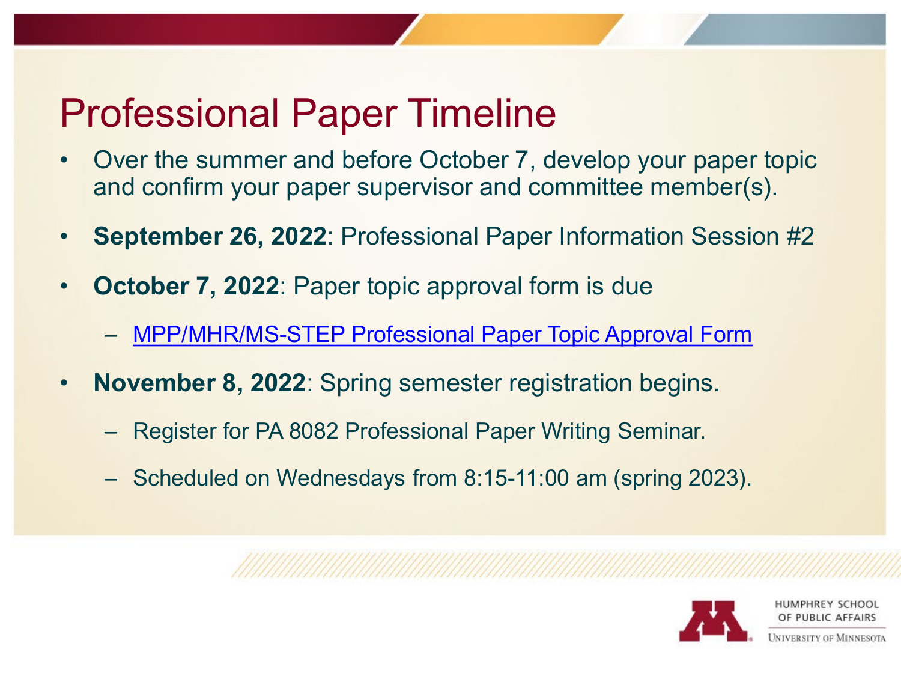# Professional Paper Timeline

- Over the summer and before October 7, develop your paper topic and confirm your paper supervisor and committee member(s).
- **September 26, 2022**: Professional Paper Information Session #2
- **October 7, 2022: Paper topic approval form is due** 
	- [MPP/MHR/MS-STEP Professional Paper Topic Approval Form](https://docs.google.com/document/d/1dMm8Diy8DMUM3NSxxhUepvKUIZiz_hH0/edit?usp=sharing&ouid=107480805854457382721&rtpof=true&sd=true)
- **November 8, 2022**: Spring semester registration begins.
	- Register for PA 8082 Professional Paper Writing Seminar.
	- Scheduled on Wednesdays from 8:15-11:00 am (spring 2023).

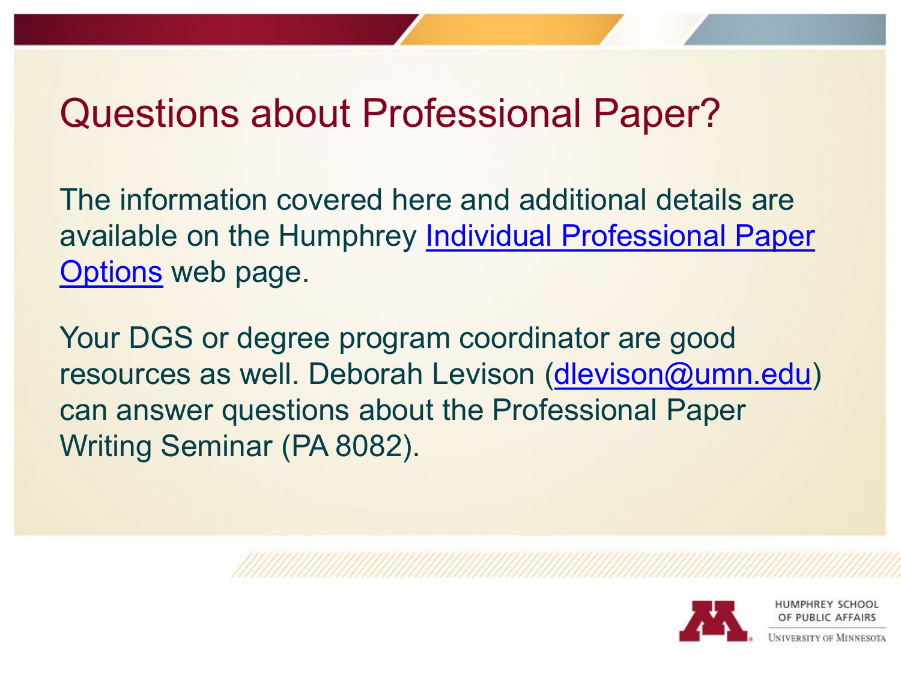## Questions about Professional Paper?

The information covered here and additional details are [available on the Humphrey Individual Professional Paper](https://docs.google.com/document/d/1dMm8Diy8DMUM3NSxxhUepvKUIZiz_hH0/edit?usp=sharing&ouid=107480805854457382721&rtpof=true&sd=true)  Options web page.

Your DGS or degree program coordinator are good resources as well. Deborah Levison ([dlevison@umn.edu\)](mailto:dlevison@umn.edu) can answer questions about the Professional Paper Writing Seminar (PA 8082).

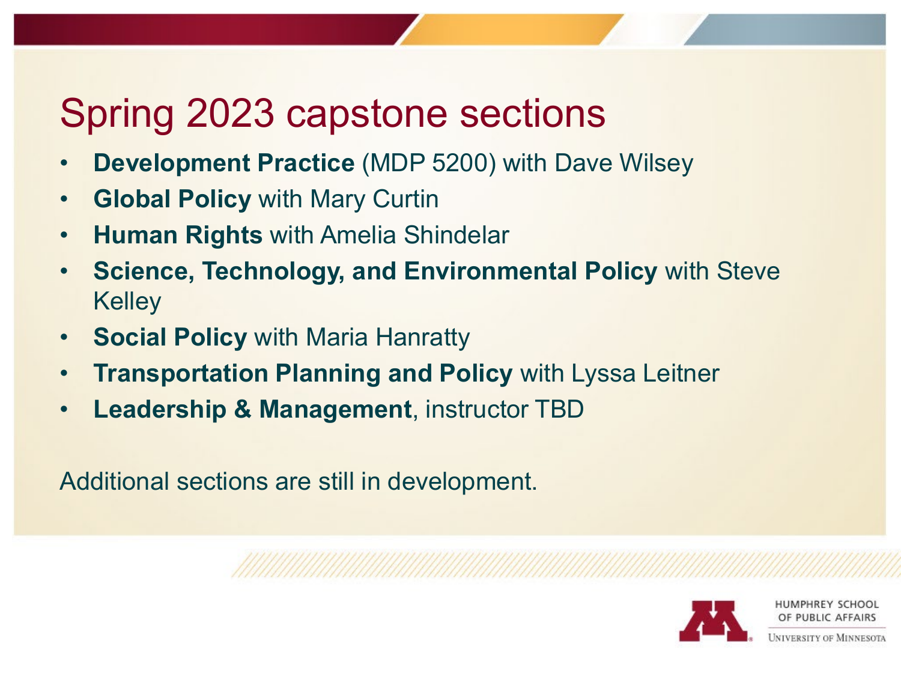# Spring 2023 capstone sections

- **Development Practice** (MDP 5200) with Dave Wilsey
- **Global Policy** with Mary Curtin
- **Human Rights** with Amelia Shindelar
- **Science, Technology, and Environmental Policy** with Steve **Kelley**
- **Social Policy** with Maria Hanratty
- **Transportation Planning and Policy** with Lyssa Leitner
- **Leadership & Management**, instructor TBD

Additional sections are still in development.

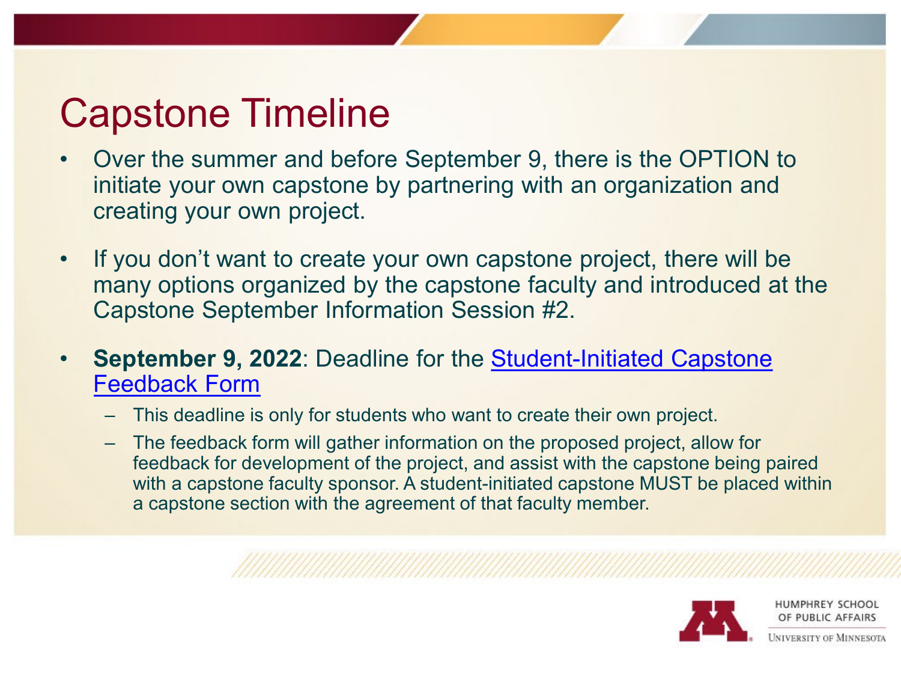# Capstone Timeline

- Over the summer and before September 9, there is the OPTION to initiate your own capstone by partnering with an organization and creating your own project.
- If you don't want to create your own capstone project, there will be many options organized by the capstone faculty and introduced at the Capstone September Information Session #2.
- **September 9, 2022: Deadline for the Student-Initiated Capstone** Feedback Form
	- This deadline is only for students who want to create their own project.
	- The feedback form will gather information on the proposed project, allow for feedback for development of the project, and assist with the capstone being paired with a capstone faculty sponsor. A student-initiated capstone MUST be placed within a capstone section with the agreement of that faculty member.

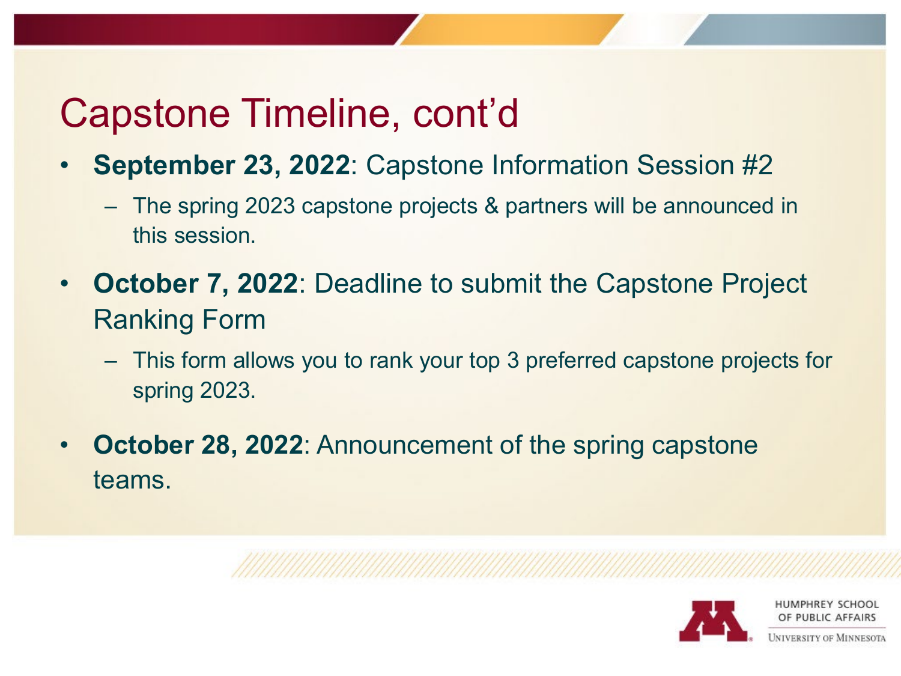# Capstone Timeline, cont'd

- **September 23, 2022**: Capstone Information Session #2
	- The spring 2023 capstone projects & partners will be announced in this session.
- **October 7, 2022**: Deadline to submit the Capstone Project Ranking Form
	- This form allows you to rank your top 3 preferred capstone projects for spring 2023.
- **October 28, 2022: Announcement of the spring capstone** teams.

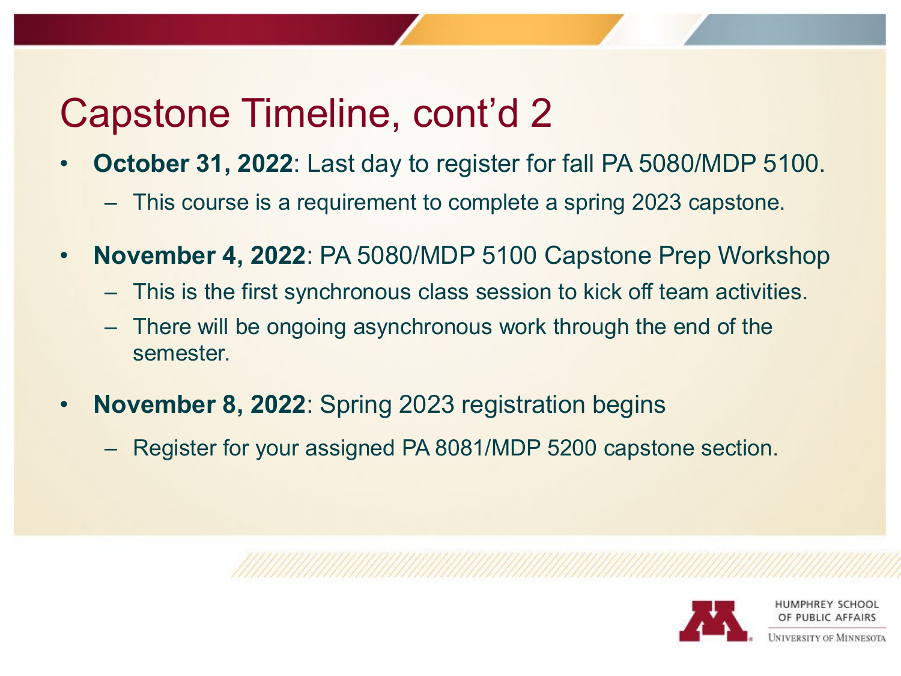# Capstone Timeline, cont'd 2

- **October 31, 2022**: Last day to register for fall PA 5080/MDP 5100.
	- This course is a requirement to complete a spring 2023 capstone.
- **November 4, 2022**: PA 5080/MDP 5100 Capstone Prep Workshop
	- This is the first synchronous class session to kick off team activities.
	- There will be ongoing asynchronous work through the end of the semester.
- **November 8, 2022**: Spring 2023 registration begins
	- Register for your assigned PA 8081/MDP 5200 capstone section.

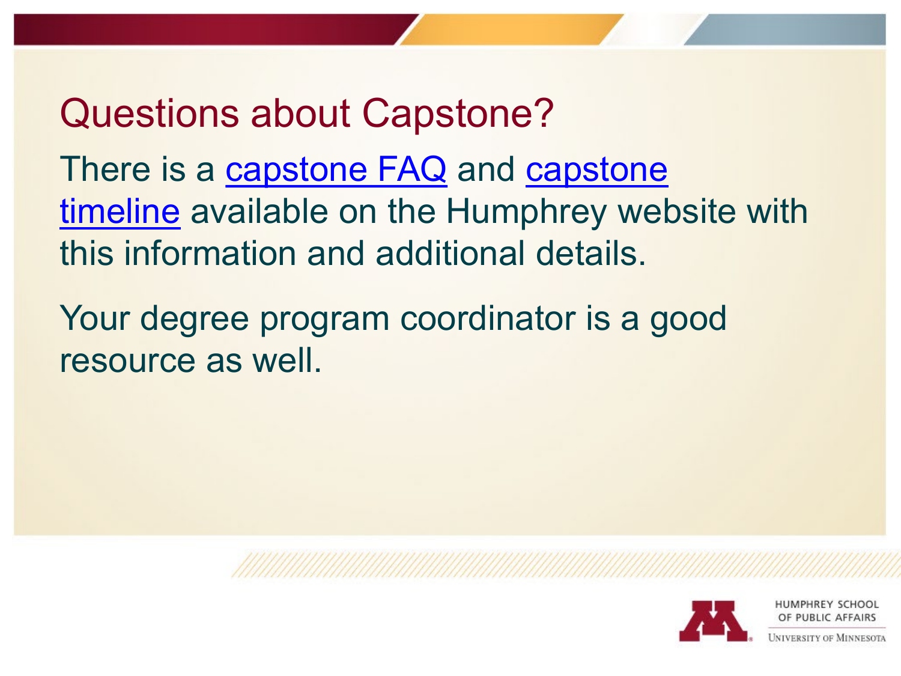## Questions about Capstone?

There is a [capstone FAQ](https://www.hhh.umn.edu/degree-planning/capstone-workshop-pa-8081) and capstone timeline [available on the Humphrey web](https://www.hhh.umn.edu/degree-planning/capstone-workshop-pa-8081/capstone-timeline)site with this information and additional details.

Your degree program coordinator is a good resource as well.